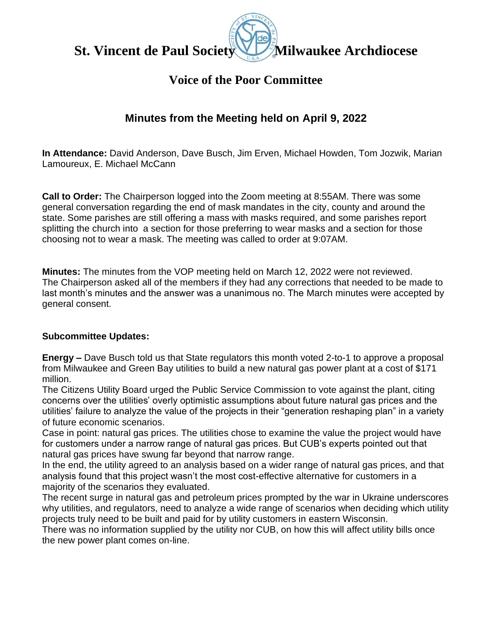**St. Vincent de Paul Society Milwaukee Archdiocese**

# **Voice of the Poor Committee**

## **Minutes from the Meeting held on April 9, 2022**

**In Attendance:** David Anderson, Dave Busch, Jim Erven, Michael Howden, Tom Jozwik, Marian Lamoureux, E. Michael McCann

**Call to Order:** The Chairperson logged into the Zoom meeting at 8:55AM. There was some general conversation regarding the end of mask mandates in the city, county and around the state. Some parishes are still offering a mass with masks required, and some parishes report splitting the church into a section for those preferring to wear masks and a section for those choosing not to wear a mask. The meeting was called to order at 9:07AM.

**Minutes:** The minutes from the VOP meeting held on March 12, 2022 were not reviewed. The Chairperson asked all of the members if they had any corrections that needed to be made to last month's minutes and the answer was a unanimous no. The March minutes were accepted by general consent.

#### **Subcommittee Updates:**

**Energy –** Dave Busch told us that State regulators this month voted 2-to-1 to approve a proposal from Milwaukee and Green Bay utilities to build a new natural gas power plant at a cost of \$171 million.

The Citizens Utility Board urged the Public Service Commission to vote against the plant, citing concerns over the utilities' overly optimistic assumptions about future natural gas prices and the utilities' failure to analyze the value of the projects in their "generation reshaping plan" in a variety of future economic scenarios.

Case in point: natural gas prices. The utilities chose to examine the value the project would have for customers under a narrow range of natural gas prices. But CUB's experts pointed out that natural gas prices have swung far beyond that narrow range.

In the end, the utility agreed to an analysis based on a wider range of natural gas prices, and that analysis found that this project wasn't the most cost-effective alternative for customers in a majority of the scenarios they evaluated.

The recent surge in natural gas and petroleum prices prompted by the war in Ukraine underscores why utilities, and regulators, need to analyze a wide range of scenarios when deciding which utility projects truly need to be built and paid for by utility customers in eastern Wisconsin.

There was no information supplied by the utility nor CUB, on how this will affect utility bills once the new power plant comes on-line.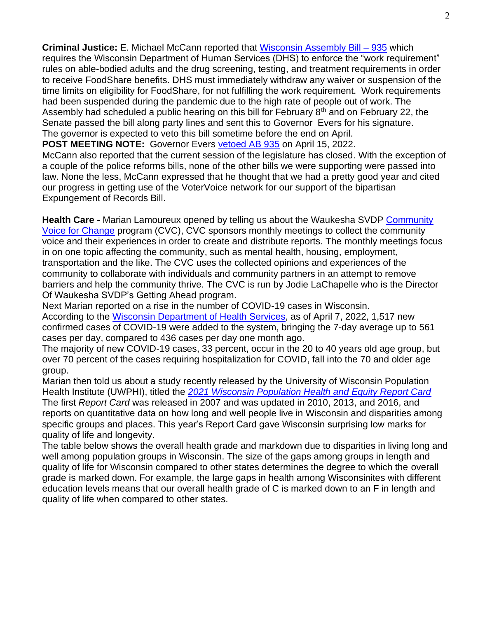**Criminal Justice:** E. Michael McCann reported that [Wisconsin Assembly Bill –](https://docs.legis.wisconsin.gov/2021/proposals/ab935) 935 which requires the Wisconsin Department of Human Services (DHS) to enforce the "work requirement" rules on able-bodied adults and the drug screening, testing, and treatment requirements in order to receive FoodShare benefits. DHS must immediately withdraw any waiver or suspension of the time limits on eligibility for FoodShare, for not fulfilling the work requirement. Work requirements had been suspended during the pandemic due to the high rate of people out of work. The Assembly had scheduled a public hearing on this bill for February  $8<sup>th</sup>$  and on February 22, the Senate passed the bill along party lines and sent this to Governor Evers for his signature. The governor is expected to veto this bill sometime before the end on April.

**POST MEETING NOTE:** Governor Evers [vetoed AB 935](https://content.govdelivery.com/attachments/WIGOV/2022/04/15/file_attachments/2133501/Signed%20Veto%20Message%20-%20AB%20935.pdf) on April 15, 2022.

McCann also reported that the current session of the legislature has closed. With the exception of a couple of the police reforms bills, none of the other bills we were supporting were passed into law. None the less, McCann expressed that he thought that we had a pretty good year and cited our progress in getting use of the VoterVoice network for our support of the bipartisan Expungement of Records Bill.

**Health Care -** Marian Lamoureux opened by telling us about the Waukesha SVDP [Community](https://www.stvincentwaukesha.org/index.php/programs/getting-ahead/cvc)  [Voice for Change](https://www.stvincentwaukesha.org/index.php/programs/getting-ahead/cvc) program (CVC), CVC sponsors monthly meetings to collect the community voice and their experiences in order to create and distribute reports. The monthly meetings focus in on one topic affecting the community, such as mental health, housing, employment, transportation and the like. The CVC uses the collected opinions and experiences of the community to collaborate with individuals and community partners in an attempt to remove barriers and help the community thrive. The CVC is run by Jodie LaChapelle who is the Director Of Waukesha SVDP's Getting Ahead program.

Next Marian reported on a rise in the number of COVID-19 cases in Wisconsin. According to the Wisconsin [Department of Health Services,](https://www.dhs.wisconsin.gov/covid-19/cases.htm#confirmed) as of April 7, 2022, 1,517 new confirmed cases of COVID-19 were added to the system, bringing the 7-day average up to 561 cases per day, compared to 436 cases per day one month ago.

The majority of new COVID-19 cases, 33 percent, occur in the 20 to 40 years old age group, but over 70 percent of the cases requiring hospitalization for COVID, fall into the 70 and older age group.

Marian then told us about a study recently released by the University of Wisconsin Population Health Institute (UWPHI), titled the *[2021 Wisconsin Population Health and Equity Report Card](https://uwphi.pophealth.wisc.edu/wp-content/uploads/sites/316/2022/03/2021WIPopHealthEquityReportCard_FINAL.pdf)*

The first *Report Card* was released in 2007 and was updated in 2010, 2013, and 2016, and reports on quantitative data on how long and well people live in Wisconsin and disparities among specific groups and places. This year's Report Card gave Wisconsin surprising low marks for quality of life and longevity.

The table below shows the overall health grade and markdown due to disparities in living long and well among population groups in Wisconsin. The size of the gaps among groups in length and quality of life for Wisconsin compared to other states determines the degree to which the overall grade is marked down. For example, the large gaps in health among Wisconsinites with different education levels means that our overall health grade of C is marked down to an F in length and quality of life when compared to other states.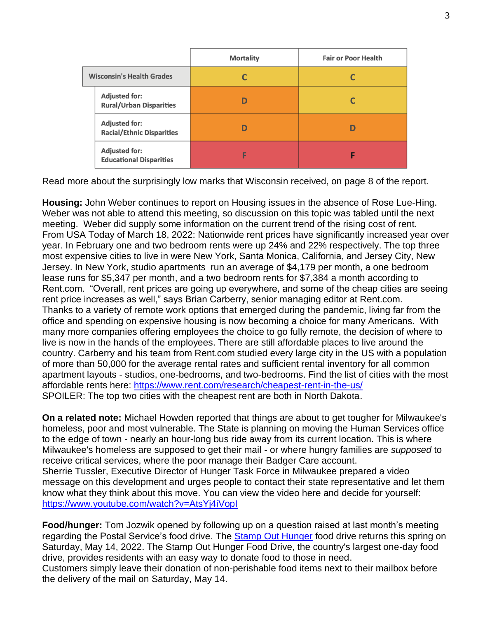|                                                          | <b>Mortality</b> | <b>Fair or Poor Health</b> |
|----------------------------------------------------------|------------------|----------------------------|
| <b>Wisconsin's Health Grades</b>                         |                  |                            |
| <b>Adjusted for:</b><br><b>Rural/Urban Disparities</b>   |                  |                            |
| <b>Adjusted for:</b><br><b>Racial/Ethnic Disparities</b> |                  |                            |
| <b>Adjusted for:</b><br><b>Educational Disparities</b>   | E                |                            |

Read more about the surprisingly low marks that Wisconsin received, on page 8 of the report.

**Housing:** John Weber continues to report on Housing issues in the absence of Rose Lue-Hing. Weber was not able to attend this meeting, so discussion on this topic was tabled until the next meeting. Weber did supply some information on the current trend of the rising cost of rent. From USA Today of March 18, 2022: Nationwide rent prices have significantly increased year over year. In February one and two bedroom rents were up 24% and 22% respectively. The top three most expensive cities to live in were New York, Santa Monica, California, and Jersey City, New Jersey. In New York, studio apartments run an average of \$4,179 per month, a one bedroom lease runs for \$5,347 per month, and a two bedroom rents for \$7,384 a month according to Rent.com. "Overall, rent prices are going up everywhere, and some of the cheap cities are seeing rent price increases as well," says Brian Carberry, senior managing editor at Rent.com. Thanks to a variety of remote work options that emerged during the pandemic, living far from the office and spending on expensive housing is now becoming a choice for many Americans. With many more companies offering employees the choice to go fully remote, the decision of where to live is now in the hands of the employees. There are still affordable places to live around the country. Carberry and his team from Rent.com studied every large city in the US with a population of more than 50,000 for the average rental rates and sufficient rental inventory for all common apartment layouts - studios, one-bedrooms, and two-bedrooms. Find the list of cities with the most affordable rents here:<https://www.rent.com/research/cheapest-rent-in-the-us/> SPOILER: The top two cities with the cheapest rent are both in North Dakota.

**On a related note:** Michael Howden reported that things are about to get tougher for Milwaukee's homeless, poor and most vulnerable. The State is planning on moving the Human Services office to the edge of town - nearly an hour-long bus ride away from its current location. This is where Milwaukee's homeless are supposed to get their mail - or where hungry families are *supposed* to receive critical services, where the poor manage their Badger Care account. Sherrie Tussler, Executive Director of Hunger Task Force in Milwaukee prepared a video message on this development and urges people to contact their state representative and let them know what they think about this move. You can view the video here and decide for yourself: <https://www.youtube.com/watch?v=AtsYj4iVopI>

**Food/hunger:** Tom Jozwik opened by following up on a question raised at last month's meeting regarding the Postal Service's food drive. The [Stamp Out Hunger](https://www.prnewswire.com/news-releases/letter-carriers-annual-food-drive-set-for-may-14-throughout-nation-301531299.html?tc=eml_cleartime) food drive returns this spring on Saturday, May 14, 2022. The Stamp Out Hunger Food Drive, the country's largest one-day food drive, provides residents with an easy way to donate food to those in need. Customers simply leave their donation of non-perishable food items next to their mailbox before the delivery of the mail on Saturday, May 14.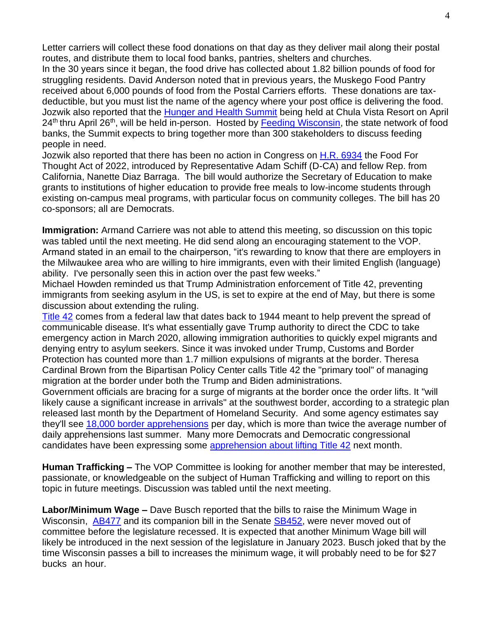Letter carriers will collect these food donations on that day as they deliver mail along their postal routes, and distribute them to local food banks, pantries, shelters and churches.

In the 30 years since it began, the food drive has collected about 1.82 billion pounds of food for struggling residents. David Anderson noted that in previous years, the Muskego Food Pantry received about 6,000 pounds of food from the Postal Carriers efforts. These donations are taxdeductible, but you must list the name of the agency where your post office is delivering the food. Jozwik also reported that the [Hunger and Health Summit](https://feedingwi.org/programs/conferences/2022_summit.php) being held at Chula Vista Resort on April 24<sup>th</sup> thru April 26<sup>th</sup>, will be held in-person. Hosted by [Feeding Wisconsin,](https://feedingwi.org/) the state network of food banks, the Summit expects to bring together more than 300 stakeholders to discuss feeding people in need.

Jozwik also reported that there has been no action in Congress on [H.R. 6934](https://www.congress.gov/bill/117th-congress/house-bill/6934/text?q=%7B%22search%22%3A%5B%22HR6934%22%2C%22HR6934%22%5D%7D&r=1&s=2) the Food For Thought Act of 2022, introduced by Representative Adam Schiff (D-CA) and fellow Rep. from California, Nanette Diaz Barraga. The bill would authorize the Secretary of Education to make grants to institutions of higher education to provide free meals to low-income students through existing on-campus meal programs, with particular focus on community colleges. The bill has 20 co-sponsors; all are Democrats.

**Immigration:** Armand Carriere was not able to attend this meeting, so discussion on this topic was tabled until the next meeting. He did send along an encouraging statement to the VOP. Armand stated in an email to the chairperson, "it's rewarding to know that there are employers in the Milwaukee area who are willing to hire immigrants, even with their limited English (language) ability. I've personally seen this in action over the past few weeks."

Michael Howden reminded us that Trump Administration enforcement of Title 42, preventing immigrants from seeking asylum in the US, is set to expire at the end of May, but there is some discussion about extending the ruling.

[Title 42](https://www.npr.org/2022/03/31/1089885292/biden-administration-aims-to-lift-pandemic-border-restriction-known-as-title-42) comes from a federal law that dates back to 1944 meant to help prevent the spread of communicable disease. It's what essentially gave Trump authority to direct the CDC to take emergency action in March 2020, allowing immigration authorities to quickly expel migrants and denying entry to asylum seekers. Since it was invoked under Trump, Customs and Border Protection has counted more than 1.7 million expulsions of migrants at the border. Theresa Cardinal Brown from the Bipartisan Policy Center calls Title 42 the "primary tool" of managing migration at the border under both the Trump and Biden administrations.

Government officials are bracing for a surge of migrants at the border once the order lifts. It "will likely cause a significant increase in arrivals" at the southwest border, according to a strategic plan released last month by the Department of Homeland Security. And some agency estimates say they'll see [18,000 border apprehensions](https://www.npr.org/2022/03/29/1089551424/dhs-officials-brace-for-a-new-surge-at-the-border-if-pandemic-restrictions-are-l) per day, which is more than twice the average number of daily apprehensions last summer. Many more Democrats and Democratic congressional candidates have been expressing some [apprehension about lifting Title 42](https://www.npr.org/2022/04/20/1093529387/as-biden-plans-to-lift-title-42-democrats-want-details-on-how-hell-address-influ) next month.

**Human Trafficking –** The VOP Committee is looking for another member that may be interested, passionate, or knowledgeable on the subject of Human Trafficking and willing to report on this topic in future meetings. Discussion was tabled until the next meeting.

**Labor/Minimum Wage –** Dave Busch reported that the bills to raise the Minimum Wage in Wisconsin, [AB477](https://docs.legis.wisconsin.gov/2021/proposals/ab477) and its companion bill in the Senate [SB452,](https://docs.legis.wisconsin.gov/2021/proposals/sb452) were never moved out of committee before the legislature recessed. It is expected that another Minimum Wage bill will likely be introduced in the next session of the legislature in January 2023. Busch joked that by the time Wisconsin passes a bill to increases the minimum wage, it will probably need to be for \$27 bucks an hour.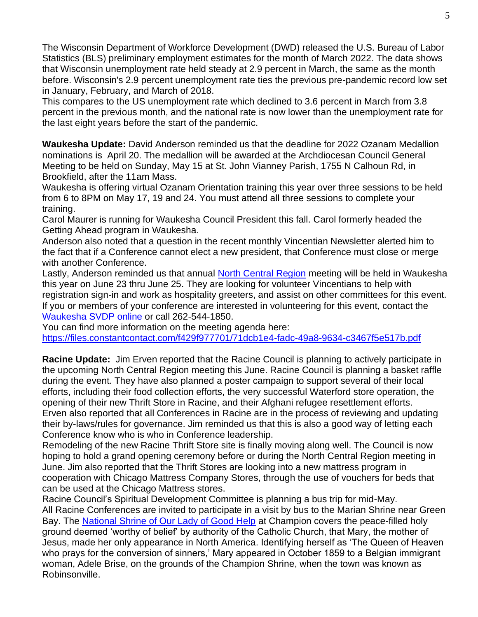The Wisconsin Department of Workforce Development (DWD) released the U.S. Bureau of Labor Statistics (BLS) preliminary employment estimates for the month of March 2022. The data shows that Wisconsin unemployment rate held steady at 2.9 percent in March, the same as the month before. Wisconsin's 2.9 percent unemployment rate ties the previous pre-pandemic record low set in January, February, and March of 2018.

This compares to the US unemployment rate which declined to 3.6 percent in March from 3.8 percent in the previous month, and the national rate is now lower than the unemployment rate for the last eight years before the start of the pandemic.

**Waukesha Update:** David Anderson reminded us that the deadline for 2022 Ozanam Medallion nominations is April 20. The medallion will be awarded at the Archdiocesan Council General Meeting to be held on Sunday, May 15 at St. John Vianney Parish, 1755 N Calhoun Rd, in Brookfield, after the 11am Mass.

Waukesha is offering virtual Ozanam Orientation training this year over three sessions to be held from 6 to 8PM on May 17, 19 and 24. You must attend all three sessions to complete your training.

Carol Maurer is running for Waukesha Council President this fall. Carol formerly headed the Getting Ahead program in Waukesha.

Anderson also noted that a question in the recent monthly Vincentian Newsletter alerted him to the fact that if a Conference cannot elect a new president, that Conference must close or merge with another Conference.

Lastly, Anderson reminded us that annual [North Central Region](https://members.ssvpusa.org/event/north-central-region-meeting/) meeting will be held in Waukesha this year on June 23 thru June 25. They are looking for volunteer Vincentians to help with registration sign-in and work as hospitality greeters, and assist on other committees for this event. If you or members of your conference are interested in volunteering for this event, contact the [Waukesha SVDP online](https://stvincentwaukesha.org/index.php/contact) or call 262-544-1850.

You can find more information on the meeting agenda here: <https://files.constantcontact.com/f429f977701/71dcb1e4-fadc-49a8-9634-c3467f5e517b.pdf>

**Racine Update:** Jim Erven reported that the Racine Council is planning to actively participate in the upcoming North Central Region meeting this June. Racine Council is planning a basket raffle during the event. They have also planned a poster campaign to support several of their local efforts, including their food collection efforts, the very successful Waterford store operation, the opening of their new Thrift Store in Racine, and their Afghani refugee resettlement efforts. Erven also reported that all Conferences in Racine are in the process of reviewing and updating their by-laws/rules for governance. Jim reminded us that this is also a good way of letting each Conference know who is who in Conference leadership.

Remodeling of the new Racine Thrift Store site is finally moving along well. The Council is now hoping to hold a grand opening ceremony before or during the North Central Region meeting in June. Jim also reported that the Thrift Stores are looking into a new mattress program in cooperation with Chicago Mattress Company Stores, through the use of vouchers for beds that can be used at the Chicago Mattress stores.

Racine Council's Spiritual Development Committee is planning a bus trip for mid-May. All Racine Conferences are invited to participate in a visit by bus to the Marian Shrine near Green Bay. The [National Shrine of Our Lady of Good Help](https://championshrine.org/the-story/) at Champion covers the peace-filled holy ground deemed 'worthy of belief' by authority of the Catholic Church, that Mary, the mother of Jesus, made her only appearance in North America. Identifying herself as 'The Queen of Heaven who prays for the conversion of sinners,' Mary appeared in October 1859 to a Belgian immigrant woman, Adele Brise, on the grounds of the Champion Shrine, when the town was known as Robinsonville.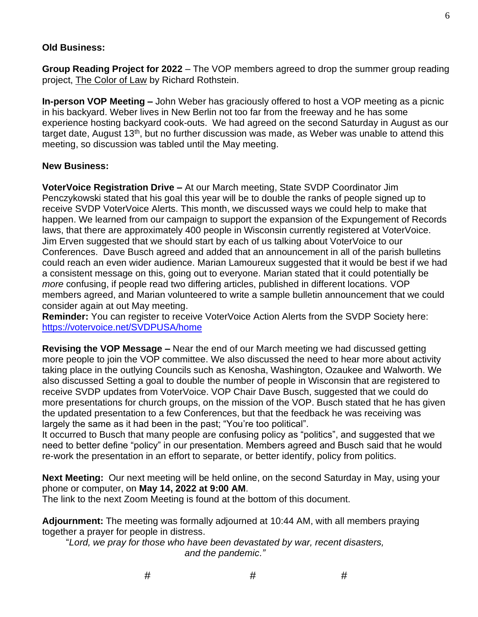### **Old Business:**

**Group Reading Project for 2022** – The VOP members agreed to drop the summer group reading project, The Color of Law by Richard Rothstein.

**In-person VOP Meeting –** John Weber has graciously offered to host a VOP meeting as a picnic in his backyard. Weber lives in New Berlin not too far from the freeway and he has some experience hosting backyard cook-outs. We had agreed on the second Saturday in August as our target date, August  $13<sup>th</sup>$ , but no further discussion was made, as Weber was unable to attend this meeting, so discussion was tabled until the May meeting.

#### **New Business:**

**VoterVoice Registration Drive –** At our March meeting, State SVDP Coordinator Jim Penczykowski stated that his goal this year will be to double the ranks of people signed up to receive SVDP VoterVoice Alerts. This month, we discussed ways we could help to make that happen. We learned from our campaign to support the expansion of the Expungement of Records laws, that there are approximately 400 people in Wisconsin currently registered at VoterVoice. Jim Erven suggested that we should start by each of us talking about VoterVoice to our Conferences. Dave Busch agreed and added that an announcement in all of the parish bulletins could reach an even wider audience. Marian Lamoureux suggested that it would be best if we had a consistent message on this, going out to everyone. Marian stated that it could potentially be *more* confusing, if people read two differing articles, published in different locations. VOP members agreed, and Marian volunteered to write a sample bulletin announcement that we could consider again at out May meeting.

**Reminder:** You can register to receive VoterVoice Action Alerts from the SVDP Society here: <https://votervoice.net/SVDPUSA/home>

**Revising the VOP Message –** Near the end of our March meeting we had discussed getting more people to join the VOP committee. We also discussed the need to hear more about activity taking place in the outlying Councils such as Kenosha, Washington, Ozaukee and Walworth. We also discussed Setting a goal to double the number of people in Wisconsin that are registered to receive SVDP updates from VoterVoice. VOP Chair Dave Busch, suggested that we could do more presentations for church groups, on the mission of the VOP. Busch stated that he has given the updated presentation to a few Conferences, but that the feedback he was receiving was largely the same as it had been in the past; "You're too political".

It occurred to Busch that many people are confusing policy as "politics", and suggested that we need to better define "policy" in our presentation. Members agreed and Busch said that he would re-work the presentation in an effort to separate, or better identify, policy from politics.

**Next Meeting:** Our next meeting will be held online, on the second Saturday in May, using your phone or computer, on **May 14, 2022 at 9:00 AM**.

The link to the next Zoom Meeting is found at the bottom of this document.

**Adjournment:** The meeting was formally adjourned at 10:44 AM, with all members praying together a prayer for people in distress.

"*Lord, we pray for those who have been devastated by war, recent disasters, and the pandemic."*